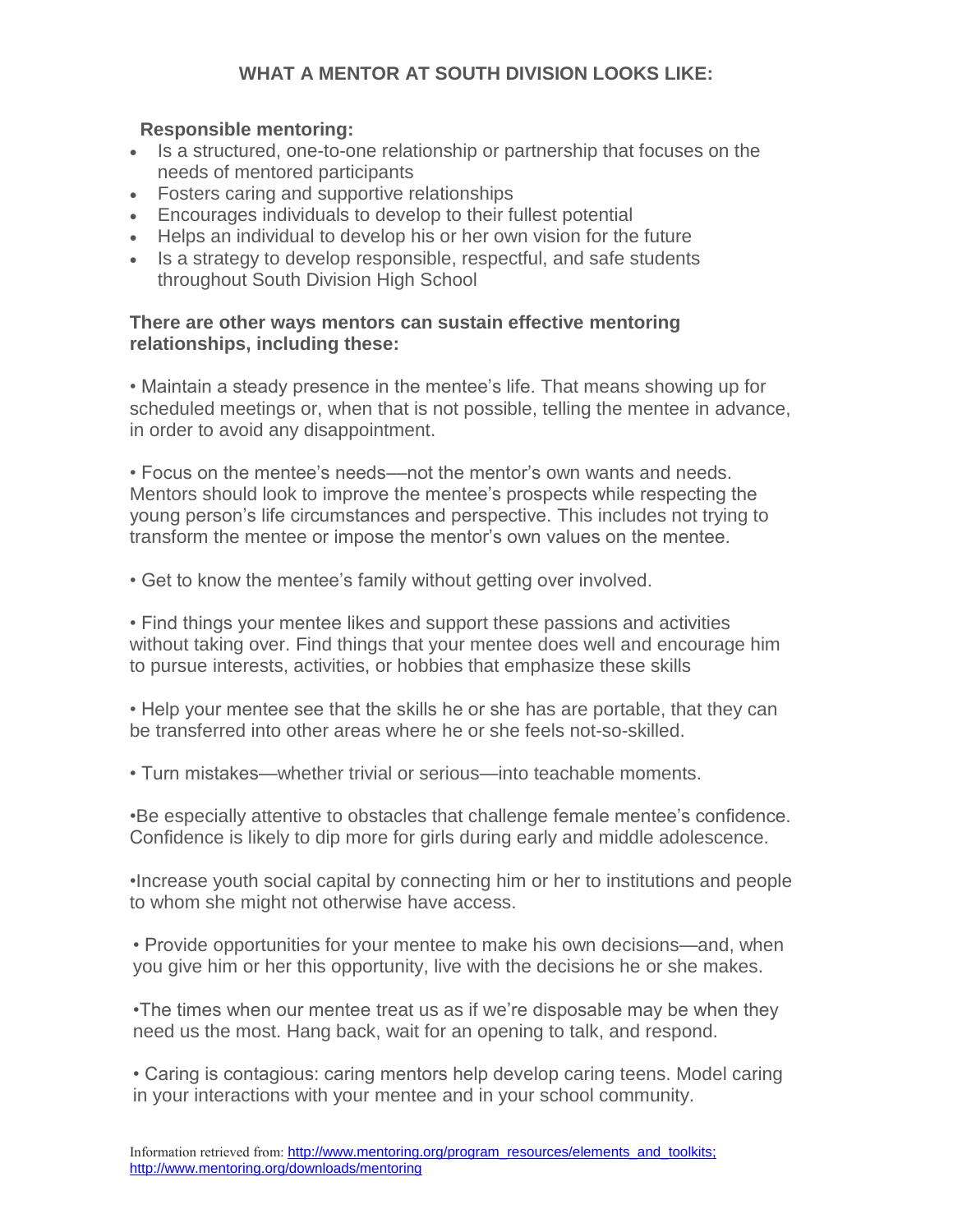# **WHAT A MENTOR AT SOUTH DIVISION LOOKS LIKE:**

#### **Responsible mentoring:**

- Is a structured, one-to-one relationship or partnership that focuses on the needs of mentored participants
- Fosters caring and supportive relationships
- Encourages individuals to develop to their fullest potential
- Helps an individual to develop his or her own vision for the future
- Is a strategy to develop responsible, respectful, and safe students throughout South Division High School

#### **There are other ways mentors can sustain effective mentoring relationships, including these:**

• Maintain a steady presence in the mentee's life. That means showing up for scheduled meetings or, when that is not possible, telling the mentee in advance, in order to avoid any disappointment.

• Focus on the mentee's needs––not the mentor's own wants and needs. Mentors should look to improve the mentee's prospects while respecting the young person's life circumstances and perspective. This includes not trying to transform the mentee or impose the mentor's own values on the mentee.

• Get to know the mentee's family without getting over involved.

• Find things your mentee likes and support these passions and activities without taking over. Find things that your mentee does well and encourage him to pursue interests, activities, or hobbies that emphasize these skills

• Help your mentee see that the skills he or she has are portable, that they can be transferred into other areas where he or she feels not-so-skilled.

• Turn mistakes—whether trivial or serious—into teachable moments.

•Be especially attentive to obstacles that challenge female mentee's confidence. Confidence is likely to dip more for girls during early and middle adolescence.

•Increase youth social capital by connecting him or her to institutions and people to whom she might not otherwise have access.

• Provide opportunities for your mentee to make his own decisions—and, when you give him or her this opportunity, live with the decisions he or she makes.

•The times when our mentee treat us as if we're disposable may be when they need us the most. Hang back, wait for an opening to talk, and respond.

• Caring is contagious: caring mentors help develop caring teens. Model caring in your interactions with your mentee and in your school community.